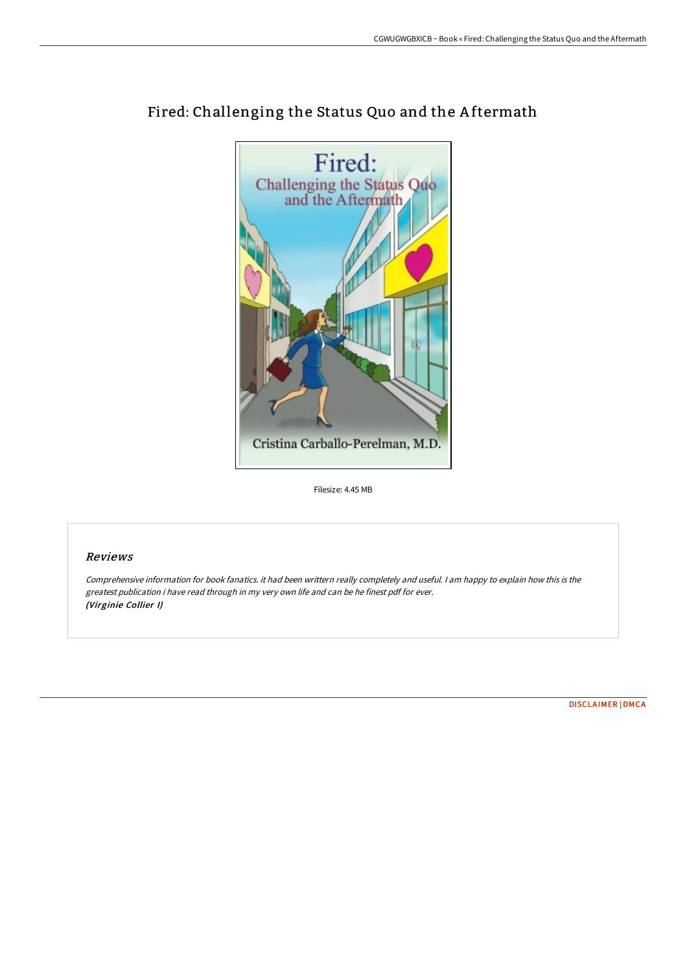

# Fired: Challenging the Status Quo and the A ftermath

Filesize: 4.45 MB

## Reviews

Comprehensive information for book fanatics. it had been writtern really completely and useful. I am happy to explain how this is the greatest publication i have read through in my very own life and can be he finest pdf for ever. (Virginie Collier I)

[DISCLAIMER](http://albedo.media/disclaimer.html) | [DMCA](http://albedo.media/dmca.html)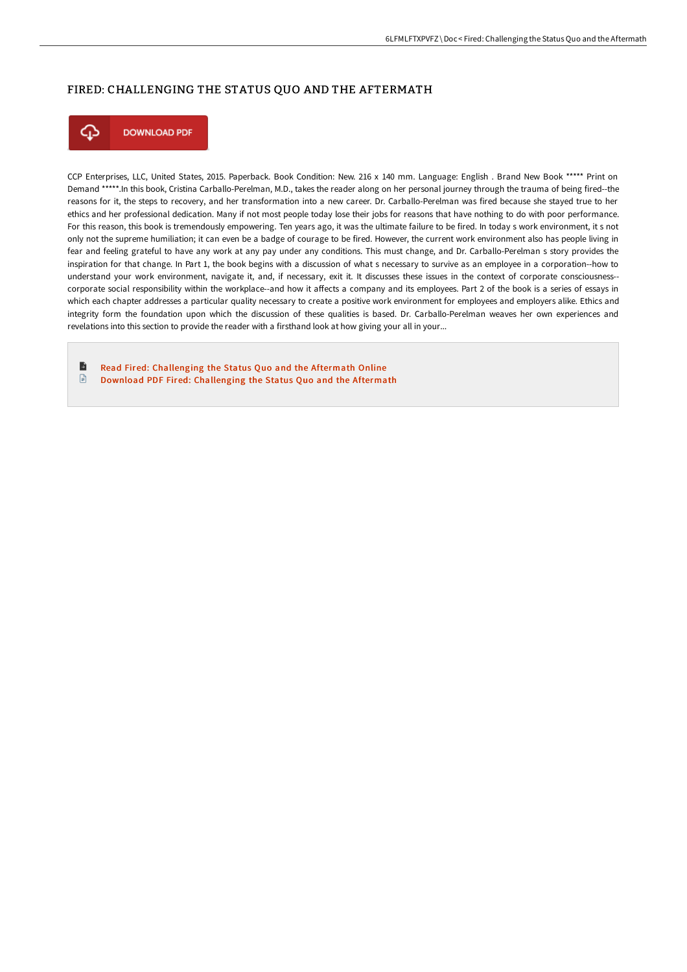#### FIRED: CHALLENGING THE STATUS QUO AND THE AFTERMATH



CCP Enterprises, LLC, United States, 2015. Paperback. Book Condition: New. 216 x 140 mm. Language: English . Brand New Book \*\*\*\*\* Print on Demand \*\*\*\*\*.In this book, Cristina Carballo-Perelman, M.D., takes the reader along on her personal journey through the trauma of being fired--the reasons for it, the steps to recovery, and her transformation into a new career. Dr. Carballo-Perelman was fired because she stayed true to her ethics and her professional dedication. Many if not most people today lose their jobs for reasons that have nothing to do with poor performance. For this reason, this book is tremendously empowering. Ten years ago, it was the ultimate failure to be fired. In today s work environment, it s not only not the supreme humiliation; it can even be a badge of courage to be fired. However, the current work environment also has people living in fear and feeling grateful to have any work at any pay under any conditions. This must change, and Dr. Carballo-Perelman s story provides the inspiration for that change. In Part 1, the book begins with a discussion of what s necessary to survive as an employee in a corporation--how to understand your work environment, navigate it, and, if necessary, exit it. It discusses these issues in the context of corporate consciousness- corporate social responsibility within the workplace--and how it affects a company and its employees. Part 2 of the book is a series of essays in which each chapter addresses a particular quality necessary to create a positive work environment for employees and employers alike. Ethics and integrity form the foundation upon which the discussion of these qualities is based. Dr. Carballo-Perelman weaves her own experiences and revelations into this section to provide the reader with a firsthand look at how giving your all in your...

B Read Fired: [Challenging](http://albedo.media/fired-challenging-the-status-quo-and-the-afterma.html) the Status Quo and the Aftermath Online  $\textcolor{red}{\Box}$ Download PDF Fired: [Challenging](http://albedo.media/fired-challenging-the-status-quo-and-the-afterma.html) the Status Quo and the Aftermath